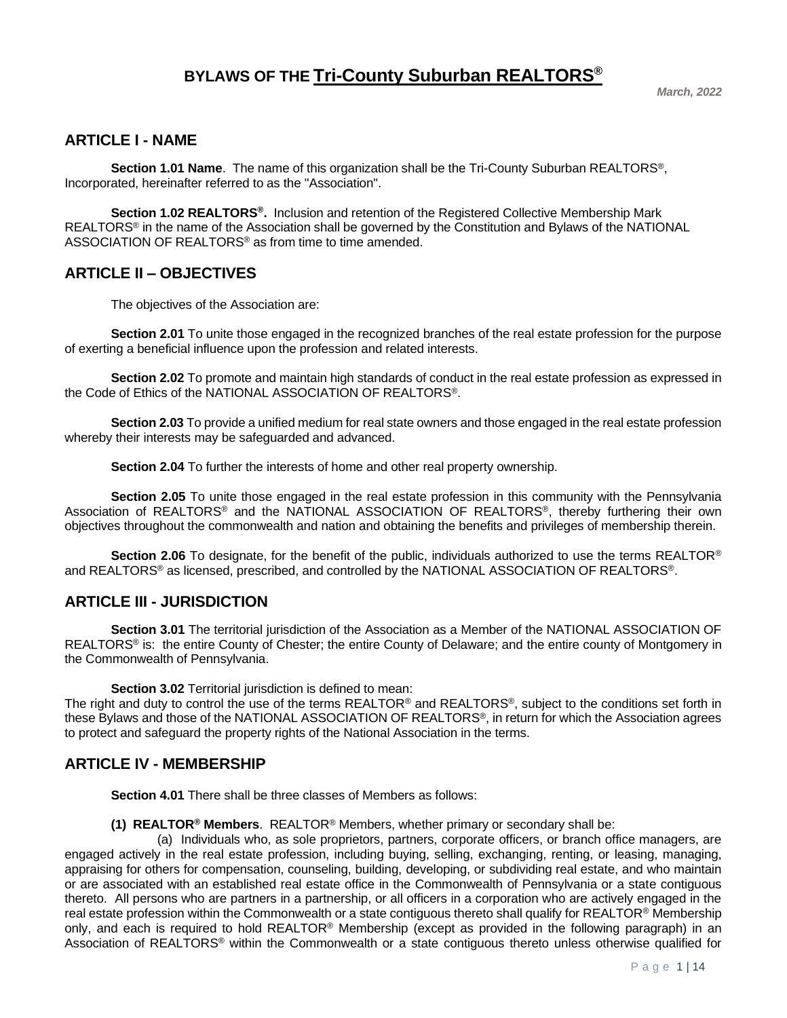## **ARTICLE I - NAME**

**Section 1.01 Name**. The name of this organization shall be the Tri-County Suburban REALTORS®, Incorporated, hereinafter referred to as the "Association".

**Section 1.02 REALTORS®.** Inclusion and retention of the Registered Collective Membership Mark REALTORS® in the name of the Association shall be governed by the Constitution and Bylaws of the NATIONAL ASSOCIATION OF REALTORS® as from time to time amended.

## **ARTICLE II – OBJECTIVES**

The objectives of the Association are:

**Section 2.01** To unite those engaged in the recognized branches of the real estate profession for the purpose of exerting a beneficial influence upon the profession and related interests.

**Section 2.02** To promote and maintain high standards of conduct in the real estate profession as expressed in the Code of Ethics of the NATIONAL ASSOCIATION OF REALTORS®.

**Section 2.03** To provide a unified medium for real state owners and those engaged in the real estate profession whereby their interests may be safeguarded and advanced.

**Section 2.04** To further the interests of home and other real property ownership.

**Section 2.05** To unite those engaged in the real estate profession in this community with the Pennsylvania Association of REALTORS® and the NATIONAL ASSOCIATION OF REALTORS®, thereby furthering their own objectives throughout the commonwealth and nation and obtaining the benefits and privileges of membership therein.

**Section 2.06** To designate, for the benefit of the public, individuals authorized to use the terms REALTOR® and REALTORS® as licensed, prescribed, and controlled by the NATIONAL ASSOCIATION OF REALTORS®.

## **ARTICLE III - JURISDICTION**

**Section 3.01** The territorial jurisdiction of the Association as a Member of the NATIONAL ASSOCIATION OF REALTORS<sup>®</sup> is: the entire County of Chester; the entire County of Delaware; and the entire county of Montgomery in the Commonwealth of Pennsylvania.

**Section 3.02** Territorial jurisdiction is defined to mean:

The right and duty to control the use of the terms REALTOR<sup>®</sup> and REALTORS<sup>®</sup>, subject to the conditions set forth in these Bylaws and those of the NATIONAL ASSOCIATION OF REALTORS®, in return for which the Association agrees to protect and safeguard the property rights of the National Association in the terms.

## **ARTICLE IV - MEMBERSHIP**

**Section 4.01** There shall be three classes of Members as follows:

**(1) REALTOR® Members**. REALTOR® Members, whether primary or secondary shall be:

(a) Individuals who, as sole proprietors, partners, corporate officers, or branch office managers, are engaged actively in the real estate profession, including buying, selling, exchanging, renting, or leasing, managing, appraising for others for compensation, counseling, building, developing, or subdividing real estate, and who maintain or are associated with an established real estate office in the Commonwealth of Pennsylvania or a state contiguous thereto. All persons who are partners in a partnership, or all officers in a corporation who are actively engaged in the real estate profession within the Commonwealth or a state contiguous thereto shall qualify for REALTOR<sup>®</sup> Membership only, and each is required to hold REALTOR® Membership (except as provided in the following paragraph) in an Association of REALTORS® within the Commonwealth or a state contiguous thereto unless otherwise qualified for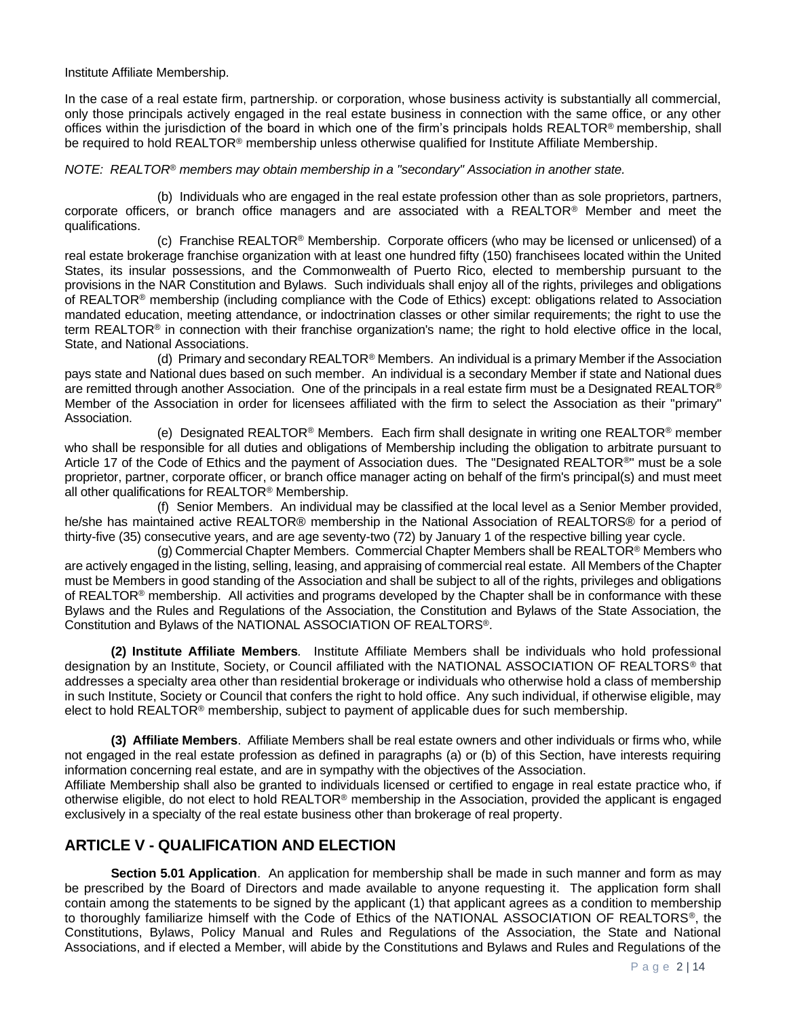Institute Affiliate Membership.

In the case of a real estate firm, partnership. or corporation, whose business activity is substantially all commercial, only those principals actively engaged in the real estate business in connection with the same office, or any other offices within the jurisdiction of the board in which one of the firm's principals holds REALTOR® membership, shall be required to hold REALTOR<sup>®</sup> membership unless otherwise qualified for Institute Affiliate Membership.

#### *NOTE: REALTOR® members may obtain membership in a "secondary" Association in another state.*

(b) Individuals who are engaged in the real estate profession other than as sole proprietors, partners, corporate officers, or branch office managers and are associated with a REALTOR® Member and meet the qualifications.

(c) Franchise REALTOR<sup>®</sup> Membership. Corporate officers (who may be licensed or unlicensed) of a real estate brokerage franchise organization with at least one hundred fifty (150) franchisees located within the United States, its insular possessions, and the Commonwealth of Puerto Rico, elected to membership pursuant to the provisions in the NAR Constitution and Bylaws. Such individuals shall enjoy all of the rights, privileges and obligations of REALTOR® membership (including compliance with the Code of Ethics) except: obligations related to Association mandated education, meeting attendance, or indoctrination classes or other similar requirements; the right to use the term REALTOR® in connection with their franchise organization's name; the right to hold elective office in the local, State, and National Associations.

(d) Primary and secondary REALTOR® Members. An individual is a primary Member if the Association pays state and National dues based on such member. An individual is a secondary Member if state and National dues are remitted through another Association. One of the principals in a real estate firm must be a Designated REALTOR® Member of the Association in order for licensees affiliated with the firm to select the Association as their "primary" Association.

(e) Designated REALTOR® Members. Each firm shall designate in writing one REALTOR® member who shall be responsible for all duties and obligations of Membership including the obligation to arbitrate pursuant to Article 17 of the Code of Ethics and the payment of Association dues. The "Designated REALTOR®" must be a sole proprietor, partner, corporate officer, or branch office manager acting on behalf of the firm's principal(s) and must meet all other qualifications for REALTOR® Membership.

(f) Senior Members. An individual may be classified at the local level as a Senior Member provided, he/she has maintained active REALTOR® membership in the National Association of REALTORS® for a period of thirty-five (35) consecutive years, and are age seventy-two (72) by January 1 of the respective billing year cycle.

(g) Commercial Chapter Members. Commercial Chapter Members shall be REALTOR® Members who are actively engaged in the listing, selling, leasing, and appraising of commercial real estate. All Members of the Chapter must be Members in good standing of the Association and shall be subject to all of the rights, privileges and obligations of REALTOR<sup>®</sup> membership. All activities and programs developed by the Chapter shall be in conformance with these Bylaws and the Rules and Regulations of the Association, the Constitution and Bylaws of the State Association, the Constitution and Bylaws of the NATIONAL ASSOCIATION OF REALTORS®.

**(2) Institute Affiliate Members***.* Institute Affiliate Members shall be individuals who hold professional designation by an Institute, Society, or Council affiliated with the NATIONAL ASSOCIATION OF REALTORS® that addresses a specialty area other than residential brokerage or individuals who otherwise hold a class of membership in such Institute, Society or Council that confers the right to hold office. Any such individual, if otherwise eligible, may elect to hold REALTOR® membership, subject to payment of applicable dues for such membership.

**(3) Affiliate Members**. Affiliate Members shall be real estate owners and other individuals or firms who, while not engaged in the real estate profession as defined in paragraphs (a) or (b) of this Section, have interests requiring information concerning real estate, and are in sympathy with the objectives of the Association.

Affiliate Membership shall also be granted to individuals licensed or certified to engage in real estate practice who, if otherwise eligible, do not elect to hold REALTOR® membership in the Association, provided the applicant is engaged exclusively in a specialty of the real estate business other than brokerage of real property.

## **ARTICLE V - QUALIFICATION AND ELECTION**

**Section 5.01 Application**. An application for membership shall be made in such manner and form as may be prescribed by the Board of Directors and made available to anyone requesting it. The application form shall contain among the statements to be signed by the applicant (1) that applicant agrees as a condition to membership to thoroughly familiarize himself with the Code of Ethics of the NATIONAL ASSOCIATION OF REALTORS®, the Constitutions, Bylaws, Policy Manual and Rules and Regulations of the Association, the State and National Associations, and if elected a Member, will abide by the Constitutions and Bylaws and Rules and Regulations of the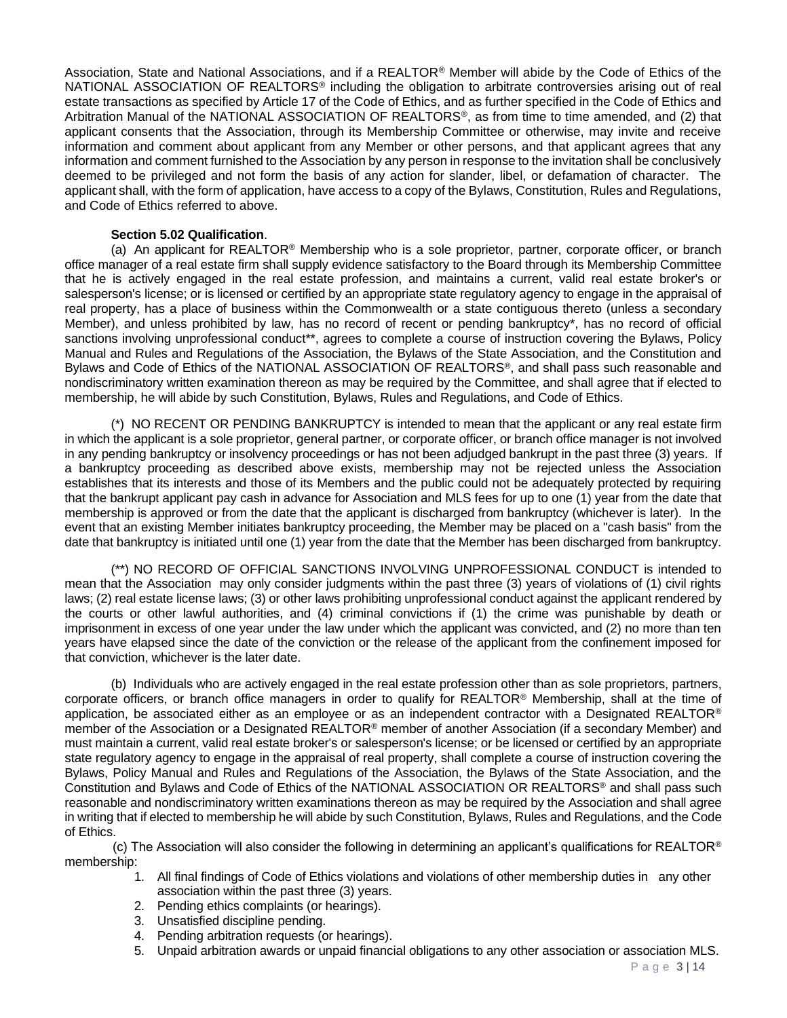Association, State and National Associations, and if a REALTOR® Member will abide by the Code of Ethics of the NATIONAL ASSOCIATION OF REALTORS<sup>®</sup> including the obligation to arbitrate controversies arising out of real estate transactions as specified by Article 17 of the Code of Ethics, and as further specified in the Code of Ethics and Arbitration Manual of the NATIONAL ASSOCIATION OF REALTORS®, as from time to time amended, and (2) that applicant consents that the Association, through its Membership Committee or otherwise, may invite and receive information and comment about applicant from any Member or other persons, and that applicant agrees that any information and comment furnished to the Association by any person in response to the invitation shall be conclusively deemed to be privileged and not form the basis of any action for slander, libel, or defamation of character. The applicant shall, with the form of application, have access to a copy of the Bylaws, Constitution, Rules and Regulations, and Code of Ethics referred to above.

#### **Section 5.02 Qualification**.

(a) An applicant for REALTOR® Membership who is a sole proprietor, partner, corporate officer, or branch office manager of a real estate firm shall supply evidence satisfactory to the Board through its Membership Committee that he is actively engaged in the real estate profession, and maintains a current, valid real estate broker's or salesperson's license; or is licensed or certified by an appropriate state regulatory agency to engage in the appraisal of real property, has a place of business within the Commonwealth or a state contiguous thereto (unless a secondary Member), and unless prohibited by law, has no record of recent or pending bankruptcy\*, has no record of official sanctions involving unprofessional conduct\*\*, agrees to complete a course of instruction covering the Bylaws, Policy Manual and Rules and Regulations of the Association, the Bylaws of the State Association, and the Constitution and Bylaws and Code of Ethics of the NATIONAL ASSOCIATION OF REALTORS®, and shall pass such reasonable and nondiscriminatory written examination thereon as may be required by the Committee, and shall agree that if elected to membership, he will abide by such Constitution, Bylaws, Rules and Regulations, and Code of Ethics.

(\*) NO RECENT OR PENDING BANKRUPTCY is intended to mean that the applicant or any real estate firm in which the applicant is a sole proprietor, general partner, or corporate officer, or branch office manager is not involved in any pending bankruptcy or insolvency proceedings or has not been adjudged bankrupt in the past three (3) years. If a bankruptcy proceeding as described above exists, membership may not be rejected unless the Association establishes that its interests and those of its Members and the public could not be adequately protected by requiring that the bankrupt applicant pay cash in advance for Association and MLS fees for up to one (1) year from the date that membership is approved or from the date that the applicant is discharged from bankruptcy (whichever is later). In the event that an existing Member initiates bankruptcy proceeding, the Member may be placed on a "cash basis" from the date that bankruptcy is initiated until one (1) year from the date that the Member has been discharged from bankruptcy.

(\*\*) NO RECORD OF OFFICIAL SANCTIONS INVOLVING UNPROFESSIONAL CONDUCT is intended to mean that the Association may only consider judgments within the past three (3) years of violations of (1) civil rights laws; (2) real estate license laws; (3) or other laws prohibiting unprofessional conduct against the applicant rendered by the courts or other lawful authorities, and (4) criminal convictions if (1) the crime was punishable by death or imprisonment in excess of one year under the law under which the applicant was convicted, and (2) no more than ten years have elapsed since the date of the conviction or the release of the applicant from the confinement imposed for that conviction, whichever is the later date.

(b) Individuals who are actively engaged in the real estate profession other than as sole proprietors, partners, corporate officers, or branch office managers in order to qualify for REALTOR® Membership, shall at the time of application, be associated either as an employee or as an independent contractor with a Designated REALTOR® member of the Association or a Designated REALTOR® member of another Association (if a secondary Member) and must maintain a current, valid real estate broker's or salesperson's license; or be licensed or certified by an appropriate state regulatory agency to engage in the appraisal of real property, shall complete a course of instruction covering the Bylaws, Policy Manual and Rules and Regulations of the Association, the Bylaws of the State Association, and the Constitution and Bylaws and Code of Ethics of the NATIONAL ASSOCIATION OR REALTORS® and shall pass such reasonable and nondiscriminatory written examinations thereon as may be required by the Association and shall agree in writing that if elected to membership he will abide by such Constitution, Bylaws, Rules and Regulations, and the Code of Ethics.

(c) The Association will also consider the following in determining an applicant's qualifications for REALTOR® membership:

- 1. All final findings of Code of Ethics violations and violations of other membership duties in any other association within the past three (3) years.
- 2. Pending ethics complaints (or hearings).
- 3. Unsatisfied discipline pending.
- 4. Pending arbitration requests (or hearings).
- 5. Unpaid arbitration awards or unpaid financial obligations to any other association or association MLS.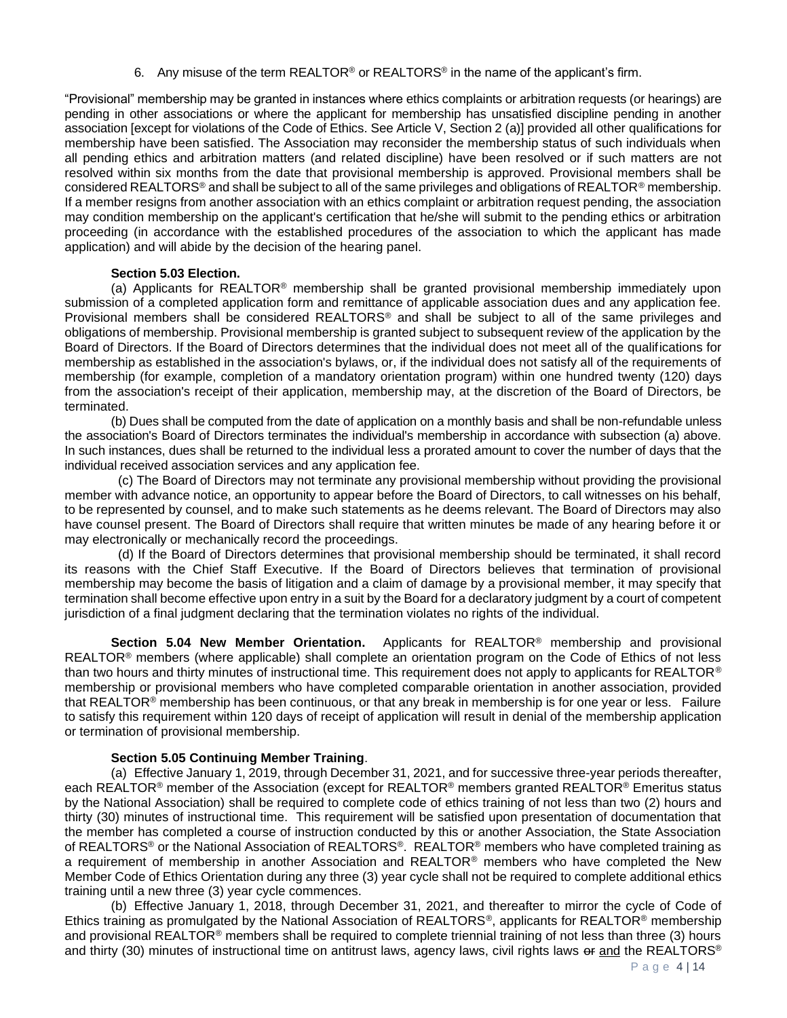6. Any misuse of the term REALTOR<sup>®</sup> or REALTORS<sup>®</sup> in the name of the applicant's firm.

"Provisional" membership may be granted in instances where ethics complaints or arbitration requests (or hearings) are pending in other associations or where the applicant for membership has unsatisfied discipline pending in another association [except for violations of the Code of Ethics. See Article V, Section 2 (a)] provided all other qualifications for membership have been satisfied. The Association may reconsider the membership status of such individuals when all pending ethics and arbitration matters (and related discipline) have been resolved or if such matters are not resolved within six months from the date that provisional membership is approved. Provisional members shall be considered REALTORS® and shall be subject to all of the same privileges and obligations of REALTOR® membership. If a member resigns from another association with an ethics complaint or arbitration request pending, the association may condition membership on the applicant's certification that he/she will submit to the pending ethics or arbitration proceeding (in accordance with the established procedures of the association to which the applicant has made application) and will abide by the decision of the hearing panel.

#### **Section 5.03 Election.**

(a) Applicants for REALTOR<sup>®</sup> membership shall be granted provisional membership immediately upon submission of a completed application form and remittance of applicable association dues and any application fee. Provisional members shall be considered REALTORS® and shall be subject to all of the same privileges and obligations of membership. Provisional membership is granted subject to subsequent review of the application by the Board of Directors. If the Board of Directors determines that the individual does not meet all of the qualifications for membership as established in the association's bylaws, or, if the individual does not satisfy all of the requirements of membership (for example, completion of a mandatory orientation program) within one hundred twenty (120) days from the association's receipt of their application, membership may, at the discretion of the Board of Directors, be terminated.

(b) Dues shall be computed from the date of application on a monthly basis and shall be non-refundable unless the association's Board of Directors terminates the individual's membership in accordance with subsection (a) above. In such instances, dues shall be returned to the individual less a prorated amount to cover the number of days that the individual received association services and any application fee.

 (c) The Board of Directors may not terminate any provisional membership without providing the provisional member with advance notice, an opportunity to appear before the Board of Directors, to call witnesses on his behalf, to be represented by counsel, and to make such statements as he deems relevant. The Board of Directors may also have counsel present. The Board of Directors shall require that written minutes be made of any hearing before it or may electronically or mechanically record the proceedings.

 (d) If the Board of Directors determines that provisional membership should be terminated, it shall record its reasons with the Chief Staff Executive. If the Board of Directors believes that termination of provisional membership may become the basis of litigation and a claim of damage by a provisional member, it may specify that termination shall become effective upon entry in a suit by the Board for a declaratory judgment by a court of competent jurisdiction of a final judgment declaring that the termination violates no rights of the individual.

**Section 5.04 New Member Orientation.** Applicants for REALTOR® membership and provisional REALTOR<sup>®</sup> members (where applicable) shall complete an orientation program on the Code of Ethics of not less than two hours and thirty minutes of instructional time. This requirement does not apply to applicants for REALTOR<sup>®</sup> membership or provisional members who have completed comparable orientation in another association, provided that REALTOR<sup>®</sup> membership has been continuous, or that any break in membership is for one year or less. Failure to satisfy this requirement within 120 days of receipt of application will result in denial of the membership application or termination of provisional membership.

#### **Section 5.05 Continuing Member Training**.

(a) Effective January 1, 2019, through December 31, 2021, and for successive three-year periods thereafter, each REALTOR® member of the Association (except for REALTOR® members granted REALTOR® Emeritus status by the National Association) shall be required to complete code of ethics training of not less than two (2) hours and thirty (30) minutes of instructional time. This requirement will be satisfied upon presentation of documentation that the member has completed a course of instruction conducted by this or another Association, the State Association of REALTORS® or the National Association of REALTORS®. REALTOR® members who have completed training as a requirement of membership in another Association and REALTOR® members who have completed the New Member Code of Ethics Orientation during any three (3) year cycle shall not be required to complete additional ethics training until a new three (3) year cycle commences.

(b) Effective January 1, 2018, through December 31, 2021, and thereafter to mirror the cycle of Code of Ethics training as promulgated by the National Association of REALTORS®, applicants for REALTOR® membership and provisional REALTOR® members shall be required to complete triennial training of not less than three (3) hours and thirty (30) minutes of instructional time on antitrust laws, agency laws, civil rights laws or and the REALTORS®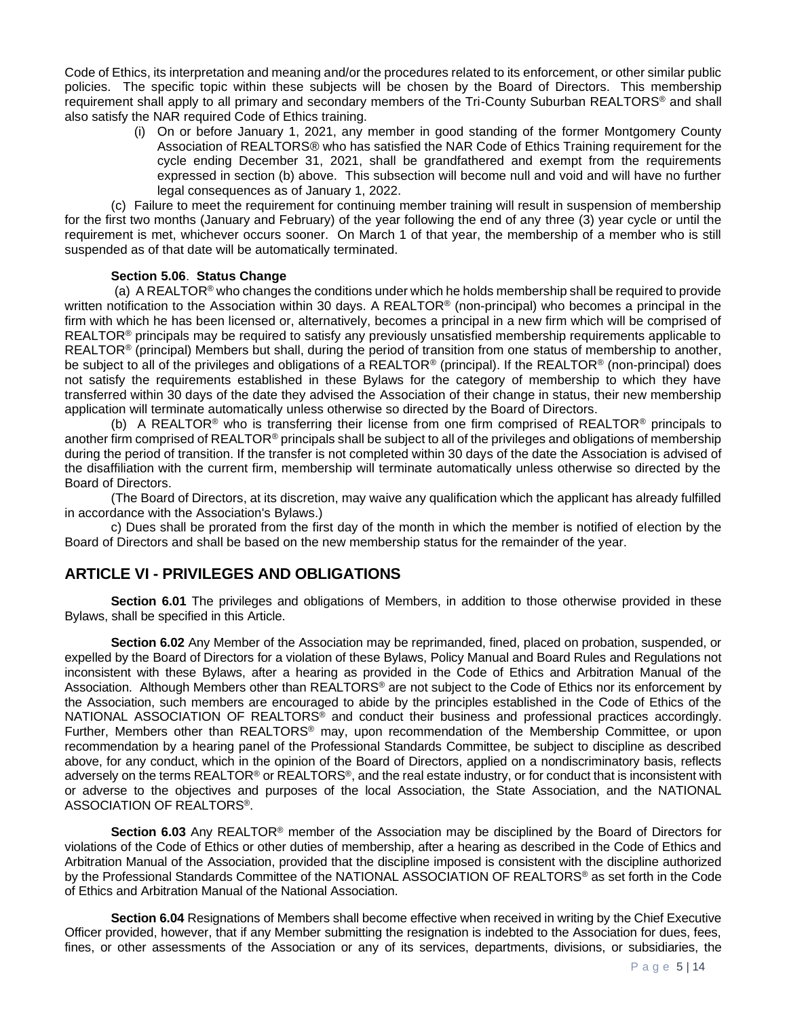Code of Ethics, its interpretation and meaning and/or the procedures related to its enforcement, or other similar public policies. The specific topic within these subjects will be chosen by the Board of Directors. This membership requirement shall apply to all primary and secondary members of the Tri-County Suburban REALTORS® and shall also satisfy the NAR required Code of Ethics training.

> (i) On or before January 1, 2021, any member in good standing of the former Montgomery County Association of REALTORS® who has satisfied the NAR Code of Ethics Training requirement for the cycle ending December 31, 2021, shall be grandfathered and exempt from the requirements expressed in section (b) above. This subsection will become null and void and will have no further legal consequences as of January 1, 2022.

(c) Failure to meet the requirement for continuing member training will result in suspension of membership for the first two months (January and February) of the year following the end of any three (3) year cycle or until the requirement is met, whichever occurs sooner. On March 1 of that year, the membership of a member who is still suspended as of that date will be automatically terminated.

#### **Section 5.06**. **Status Change**

(a) A REALTOR® who changes the conditions under which he holds membership shall be required to provide written notification to the Association within 30 days. A REALTOR<sup>®</sup> (non-principal) who becomes a principal in the firm with which he has been licensed or, alternatively, becomes a principal in a new firm which will be comprised of REALTOR<sup>®</sup> principals may be required to satisfy any previously unsatisfied membership requirements applicable to  $REALTOR<sup>®</sup>$  (principal) Members but shall, during the period of transition from one status of membership to another, be subject to all of the privileges and obligations of a REALTOR<sup>®</sup> (principal). If the REALTOR<sup>®</sup> (non-principal) does not satisfy the requirements established in these Bylaws for the category of membership to which they have transferred within 30 days of the date they advised the Association of their change in status, their new membership application will terminate automatically unless otherwise so directed by the Board of Directors.

(b) A REALTOR<sup>®</sup> who is transferring their license from one firm comprised of REALTOR<sup>®</sup> principals to another firm comprised of REALTOR® principals shall be subject to all of the privileges and obligations of membership during the period of transition. If the transfer is not completed within 30 days of the date the Association is advised of the disaffiliation with the current firm, membership will terminate automatically unless otherwise so directed by the Board of Directors.

(The Board of Directors, at its discretion, may waive any qualification which the applicant has already fulfilled in accordance with the Association's Bylaws.)

c) Dues shall be prorated from the first day of the month in which the member is notified of election by the Board of Directors and shall be based on the new membership status for the remainder of the year.

## **ARTICLE VI - PRIVILEGES AND OBLIGATIONS**

**Section 6.01** The privileges and obligations of Members, in addition to those otherwise provided in these Bylaws, shall be specified in this Article.

**Section 6.02** Any Member of the Association may be reprimanded, fined, placed on probation, suspended, or expelled by the Board of Directors for a violation of these Bylaws, Policy Manual and Board Rules and Regulations not inconsistent with these Bylaws, after a hearing as provided in the Code of Ethics and Arbitration Manual of the Association. Although Members other than REALTORS<sup>®</sup> are not subject to the Code of Ethics nor its enforcement by the Association, such members are encouraged to abide by the principles established in the Code of Ethics of the NATIONAL ASSOCIATION OF REALTORS® and conduct their business and professional practices accordingly. Further, Members other than REALTORS® may, upon recommendation of the Membership Committee, or upon recommendation by a hearing panel of the Professional Standards Committee, be subject to discipline as described above, for any conduct, which in the opinion of the Board of Directors, applied on a nondiscriminatory basis, reflects adversely on the terms REALTOR® or REALTORS®, and the real estate industry, or for conduct that is inconsistent with or adverse to the objectives and purposes of the local Association, the State Association, and the NATIONAL ASSOCIATION OF REALTORS®.

**Section 6.03** Any REALTOR® member of the Association may be disciplined by the Board of Directors for violations of the Code of Ethics or other duties of membership, after a hearing as described in the Code of Ethics and Arbitration Manual of the Association, provided that the discipline imposed is consistent with the discipline authorized by the Professional Standards Committee of the NATIONAL ASSOCIATION OF REALTORS® as set forth in the Code of Ethics and Arbitration Manual of the National Association.

**Section 6.04** Resignations of Members shall become effective when received in writing by the Chief Executive Officer provided, however, that if any Member submitting the resignation is indebted to the Association for dues, fees, fines, or other assessments of the Association or any of its services, departments, divisions, or subsidiaries, the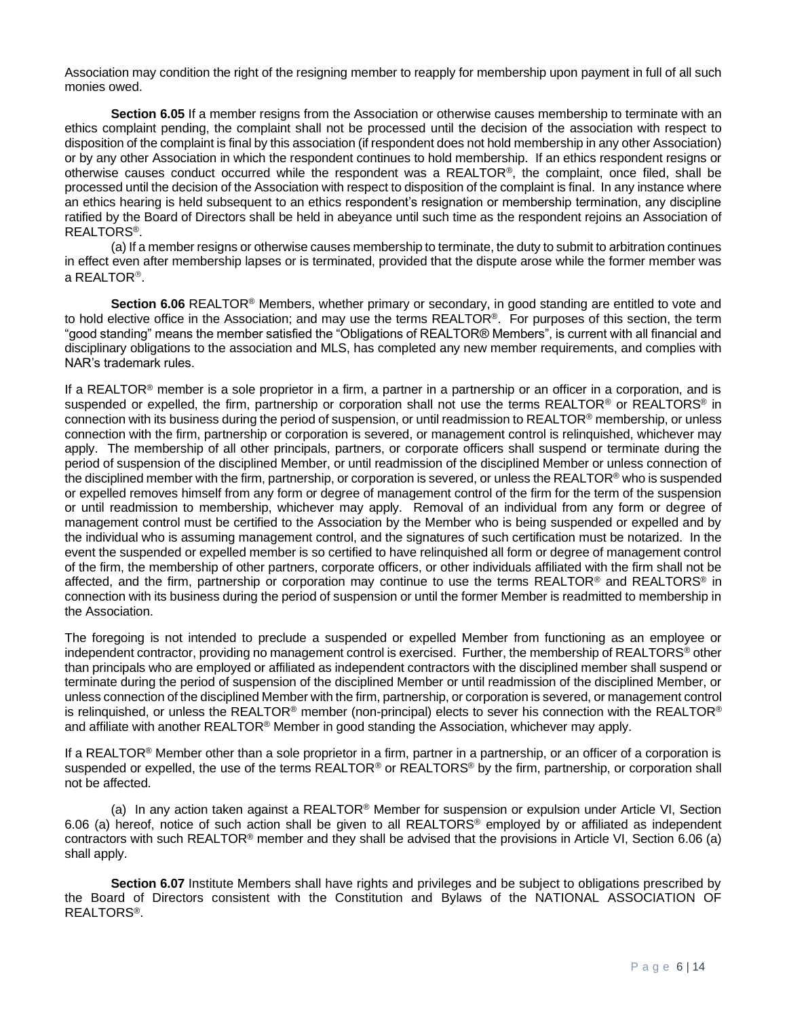Association may condition the right of the resigning member to reapply for membership upon payment in full of all such monies owed.

**Section 6.05** If a member resigns from the Association or otherwise causes membership to terminate with an ethics complaint pending, the complaint shall not be processed until the decision of the association with respect to disposition of the complaint is final by this association (if respondent does not hold membership in any other Association) or by any other Association in which the respondent continues to hold membership. If an ethics respondent resigns or otherwise causes conduct occurred while the respondent was a REALTOR®, the complaint, once filed, shall be processed until the decision of the Association with respect to disposition of the complaint is final. In any instance where an ethics hearing is held subsequent to an ethics respondent's resignation or membership termination, any discipline ratified by the Board of Directors shall be held in abeyance until such time as the respondent rejoins an Association of REALTORS®.

(a) If a member resigns or otherwise causes membership to terminate, the duty to submit to arbitration continues in effect even after membership lapses or is terminated, provided that the dispute arose while the former member was a REALTOR<sup>®</sup>.

**Section 6.06** REALTOR® Members, whether primary or secondary, in good standing are entitled to vote and to hold elective office in the Association; and may use the terms REALTOR®. For purposes of this section, the term "good standing" means the member satisfied the "Obligations of REALTOR® Members", is current with all financial and disciplinary obligations to the association and MLS, has completed any new member requirements, and complies with NAR's trademark rules.

If a REALTOR<sup>®</sup> member is a sole proprietor in a firm, a partner in a partnership or an officer in a corporation, and is suspended or expelled, the firm, partnership or corporation shall not use the terms REALTOR® or REALTORS® in connection with its business during the period of suspension, or until readmission to REALTOR® membership, or unless connection with the firm, partnership or corporation is severed, or management control is relinquished, whichever may apply. The membership of all other principals, partners, or corporate officers shall suspend or terminate during the period of suspension of the disciplined Member, or until readmission of the disciplined Member or unless connection of the disciplined member with the firm, partnership, or corporation is severed, or unless the REALTOR® who is suspended or expelled removes himself from any form or degree of management control of the firm for the term of the suspension or until readmission to membership, whichever may apply. Removal of an individual from any form or degree of management control must be certified to the Association by the Member who is being suspended or expelled and by the individual who is assuming management control, and the signatures of such certification must be notarized. In the event the suspended or expelled member is so certified to have relinquished all form or degree of management control of the firm, the membership of other partners, corporate officers, or other individuals affiliated with the firm shall not be affected, and the firm, partnership or corporation may continue to use the terms REALTOR® and REALTORS® in connection with its business during the period of suspension or until the former Member is readmitted to membership in the Association.

The foregoing is not intended to preclude a suspended or expelled Member from functioning as an employee or independent contractor, providing no management control is exercised. Further, the membership of REALTORS® other than principals who are employed or affiliated as independent contractors with the disciplined member shall suspend or terminate during the period of suspension of the disciplined Member or until readmission of the disciplined Member, or unless connection of the disciplined Member with the firm, partnership, or corporation is severed, or management control is relinquished, or unless the REALTOR® member (non-principal) elects to sever his connection with the REALTOR® and affiliate with another REALTOR® Member in good standing the Association, whichever may apply.

If a REALTOR® Member other than a sole proprietor in a firm, partner in a partnership, or an officer of a corporation is suspended or expelled, the use of the terms REALTOR® or REALTORS® by the firm, partnership, or corporation shall not be affected.

(a) In any action taken against a REALTOR® Member for suspension or expulsion under Article VI, Section 6.06 (a) hereof, notice of such action shall be given to all REALTORS® employed by or affiliated as independent contractors with such REALTOR® member and they shall be advised that the provisions in Article VI, Section 6.06 (a) shall apply.

**Section 6.07** Institute Members shall have rights and privileges and be subject to obligations prescribed by the Board of Directors consistent with the Constitution and Bylaws of the NATIONAL ASSOCIATION OF REALTORS®.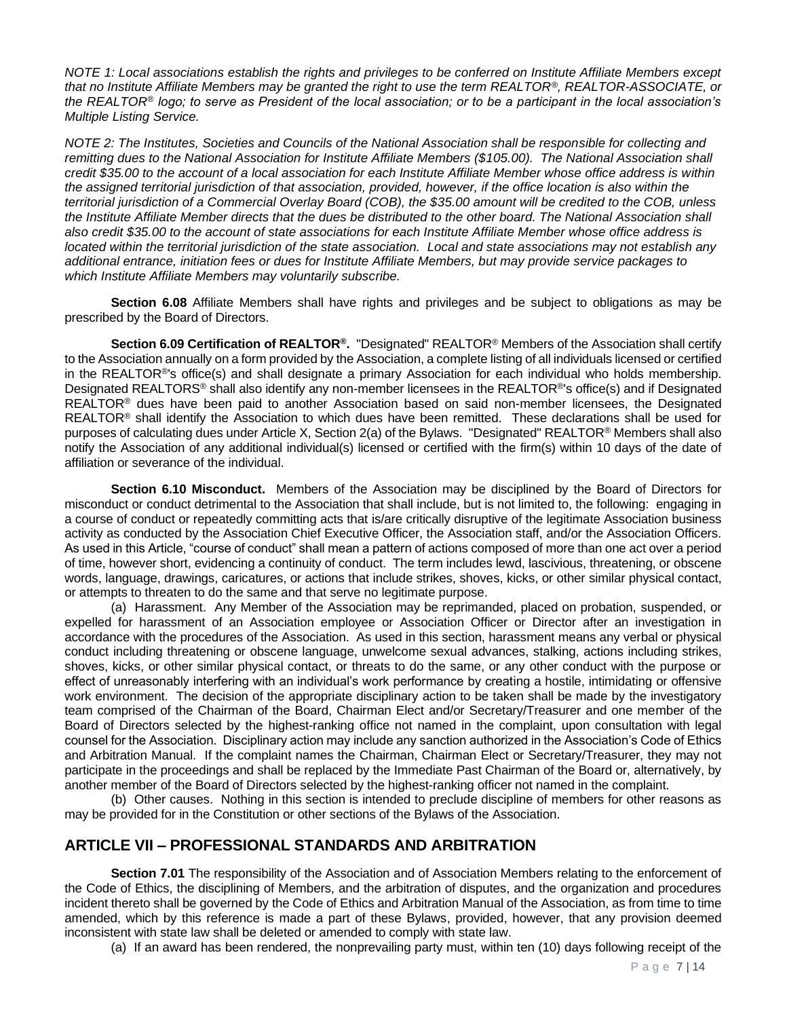*NOTE 1: Local associations establish the rights and privileges to be conferred on Institute Affiliate Members except that no Institute Affiliate Members may be granted the right to use the term REALTOR®, REALTOR-ASSOCIATE, or the REALTOR® logo; to serve as President of the local association; or to be a participant in the local association's Multiple Listing Service.* 

*NOTE 2: The Institutes, Societies and Councils of the National Association shall be responsible for collecting and remitting dues to the National Association for Institute Affiliate Members (\$105.00). The National Association shall credit \$35.00 to the account of a local association for each Institute Affiliate Member whose office address is within the assigned territorial jurisdiction of that association, provided, however, if the office location is also within the territorial jurisdiction of a Commercial Overlay Board (COB), the \$35.00 amount will be credited to the COB, unless*  the Institute Affiliate Member directs that the dues be distributed to the other board. The National Association shall *also credit \$35.00 to the account of state associations for each Institute Affiliate Member whose office address is located within the territorial jurisdiction of the state association. Local and state associations may not establish any additional entrance, initiation fees or dues for Institute Affiliate Members, but may provide service packages to which Institute Affiliate Members may voluntarily subscribe.*

**Section 6.08** Affiliate Members shall have rights and privileges and be subject to obligations as may be prescribed by the Board of Directors.

**Section 6.09 Certification of REALTOR®.** "Designated" REALTOR® Members of the Association shall certify to the Association annually on a form provided by the Association, a complete listing of all individuals licensed or certified in the REALTOR®'s office(s) and shall designate a primary Association for each individual who holds membership. Designated REALTORS® shall also identify any non-member licensees in the REALTOR®'s office(s) and if Designated REALTOR® dues have been paid to another Association based on said non-member licensees, the Designated REALTOR<sup>®</sup> shall identify the Association to which dues have been remitted. These declarations shall be used for purposes of calculating dues under Article X, Section 2(a) of the Bylaws. "Designated" REALTOR® Members shall also notify the Association of any additional individual(s) licensed or certified with the firm(s) within 10 days of the date of affiliation or severance of the individual.

**Section 6.10 Misconduct.** Members of the Association may be disciplined by the Board of Directors for misconduct or conduct detrimental to the Association that shall include, but is not limited to, the following: engaging in a course of conduct or repeatedly committing acts that is/are critically disruptive of the legitimate Association business activity as conducted by the Association Chief Executive Officer, the Association staff, and/or the Association Officers. As used in this Article, "course of conduct" shall mean a pattern of actions composed of more than one act over a period of time, however short, evidencing a continuity of conduct. The term includes lewd, lascivious, threatening, or obscene words, language, drawings, caricatures, or actions that include strikes, shoves, kicks, or other similar physical contact, or attempts to threaten to do the same and that serve no legitimate purpose.

(a) Harassment. Any Member of the Association may be reprimanded, placed on probation, suspended, or expelled for harassment of an Association employee or Association Officer or Director after an investigation in accordance with the procedures of the Association. As used in this section, harassment means any verbal or physical conduct including threatening or obscene language, unwelcome sexual advances, stalking, actions including strikes, shoves, kicks, or other similar physical contact, or threats to do the same, or any other conduct with the purpose or effect of unreasonably interfering with an individual's work performance by creating a hostile, intimidating or offensive work environment. The decision of the appropriate disciplinary action to be taken shall be made by the investigatory team comprised of the Chairman of the Board, Chairman Elect and/or Secretary/Treasurer and one member of the Board of Directors selected by the highest-ranking office not named in the complaint, upon consultation with legal counsel for the Association. Disciplinary action may include any sanction authorized in the Association's Code of Ethics and Arbitration Manual. If the complaint names the Chairman, Chairman Elect or Secretary/Treasurer, they may not participate in the proceedings and shall be replaced by the Immediate Past Chairman of the Board or, alternatively, by another member of the Board of Directors selected by the highest-ranking officer not named in the complaint.

(b) Other causes. Nothing in this section is intended to preclude discipline of members for other reasons as may be provided for in the Constitution or other sections of the Bylaws of the Association.

# **ARTICLE VII – PROFESSIONAL STANDARDS AND ARBITRATION**

**Section 7.01** The responsibility of the Association and of Association Members relating to the enforcement of the Code of Ethics, the disciplining of Members, and the arbitration of disputes, and the organization and procedures incident thereto shall be governed by the Code of Ethics and Arbitration Manual of the Association, as from time to time amended, which by this reference is made a part of these Bylaws, provided, however, that any provision deemed inconsistent with state law shall be deleted or amended to comply with state law.

(a) If an award has been rendered, the nonprevailing party must, within ten (10) days following receipt of the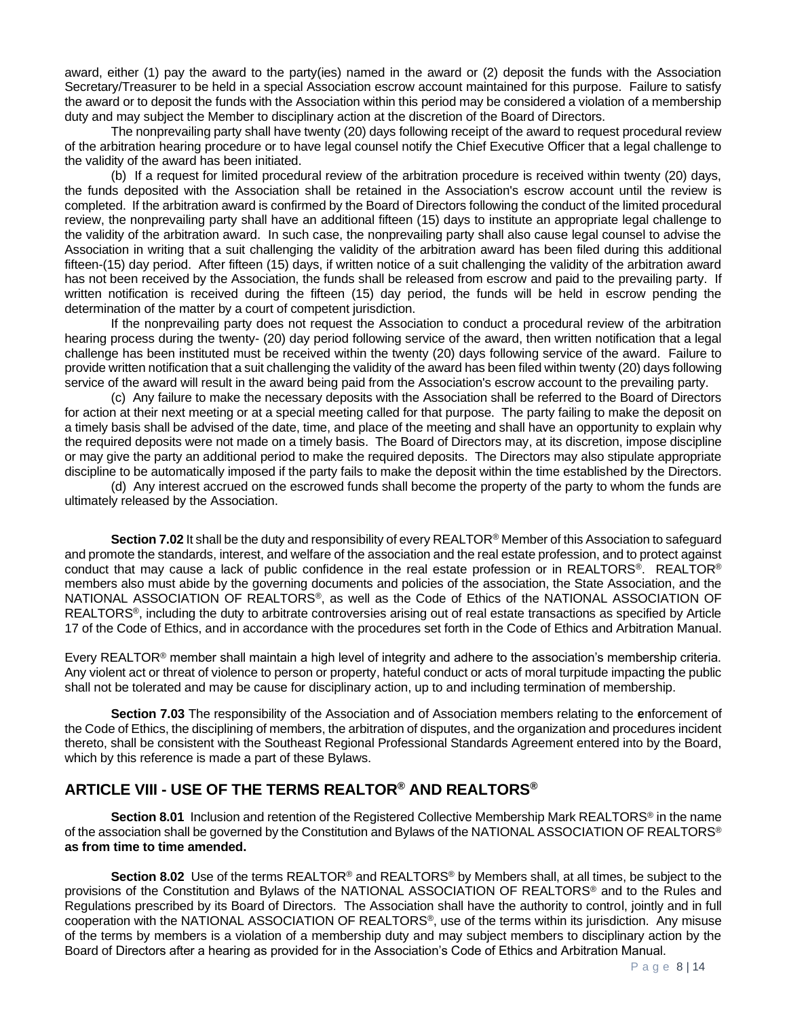award, either (1) pay the award to the party(ies) named in the award or (2) deposit the funds with the Association Secretary/Treasurer to be held in a special Association escrow account maintained for this purpose. Failure to satisfy the award or to deposit the funds with the Association within this period may be considered a violation of a membership duty and may subject the Member to disciplinary action at the discretion of the Board of Directors.

The nonprevailing party shall have twenty (20) days following receipt of the award to request procedural review of the arbitration hearing procedure or to have legal counsel notify the Chief Executive Officer that a legal challenge to the validity of the award has been initiated.

(b) If a request for limited procedural review of the arbitration procedure is received within twenty (20) days, the funds deposited with the Association shall be retained in the Association's escrow account until the review is completed. If the arbitration award is confirmed by the Board of Directors following the conduct of the limited procedural review, the nonprevailing party shall have an additional fifteen (15) days to institute an appropriate legal challenge to the validity of the arbitration award. In such case, the nonprevailing party shall also cause legal counsel to advise the Association in writing that a suit challenging the validity of the arbitration award has been filed during this additional fifteen-(15) day period. After fifteen (15) days, if written notice of a suit challenging the validity of the arbitration award has not been received by the Association, the funds shall be released from escrow and paid to the prevailing party. If written notification is received during the fifteen (15) day period, the funds will be held in escrow pending the determination of the matter by a court of competent jurisdiction.

If the nonprevailing party does not request the Association to conduct a procedural review of the arbitration hearing process during the twenty- (20) day period following service of the award, then written notification that a legal challenge has been instituted must be received within the twenty (20) days following service of the award. Failure to provide written notification that a suit challenging the validity of the award has been filed within twenty (20) days following service of the award will result in the award being paid from the Association's escrow account to the prevailing party.

(c) Any failure to make the necessary deposits with the Association shall be referred to the Board of Directors for action at their next meeting or at a special meeting called for that purpose. The party failing to make the deposit on a timely basis shall be advised of the date, time, and place of the meeting and shall have an opportunity to explain why the required deposits were not made on a timely basis. The Board of Directors may, at its discretion, impose discipline or may give the party an additional period to make the required deposits. The Directors may also stipulate appropriate discipline to be automatically imposed if the party fails to make the deposit within the time established by the Directors.

(d) Any interest accrued on the escrowed funds shall become the property of the party to whom the funds are ultimately released by the Association.

**Section 7.02** It shall be the duty and responsibility of every REALTOR® Member of this Association to safeguard and promote the standards, interest, and welfare of the association and the real estate profession, and to protect against conduct that may cause a lack of public confidence in the real estate profession or in REALTORS®. REALTOR® members also must abide by the governing documents and policies of the association, the State Association, and the NATIONAL ASSOCIATION OF REALTORS®, as well as the Code of Ethics of the NATIONAL ASSOCIATION OF REALTORS®, including the duty to arbitrate controversies arising out of real estate transactions as specified by Article 17 of the Code of Ethics, and in accordance with the procedures set forth in the Code of Ethics and Arbitration Manual.

Every REALTOR® member shall maintain a high level of integrity and adhere to the association's membership criteria. Any violent act or threat of violence to person or property, hateful conduct or acts of moral turpitude impacting the public shall not be tolerated and may be cause for disciplinary action, up to and including termination of membership.

**Section 7.03** The responsibility of the Association and of Association members relating to the **e**nforcement of the Code of Ethics, the disciplining of members, the arbitration of disputes, and the organization and procedures incident thereto, shall be consistent with the Southeast Regional Professional Standards Agreement entered into by the Board, which by this reference is made a part of these Bylaws.

# **ARTICLE VIII - USE OF THE TERMS REALTOR® AND REALTORS®**

**Section 8.01** Inclusion and retention of the Registered Collective Membership Mark REALTORS® in the name of the association shall be governed by the Constitution and Bylaws of the NATIONAL ASSOCIATION OF REALTORS® **as from time to time amended.** 

**Section 8.02** Use of the terms REALTOR® and REALTORS® by Members shall, at all times, be subject to the provisions of the Constitution and Bylaws of the NATIONAL ASSOCIATION OF REALTORS® and to the Rules and Regulations prescribed by its Board of Directors. The Association shall have the authority to control, jointly and in full cooperation with the NATIONAL ASSOCIATION OF REALTORS®, use of the terms within its jurisdiction. Any misuse of the terms by members is a violation of a membership duty and may subject members to disciplinary action by the Board of Directors after a hearing as provided for in the Association's Code of Ethics and Arbitration Manual.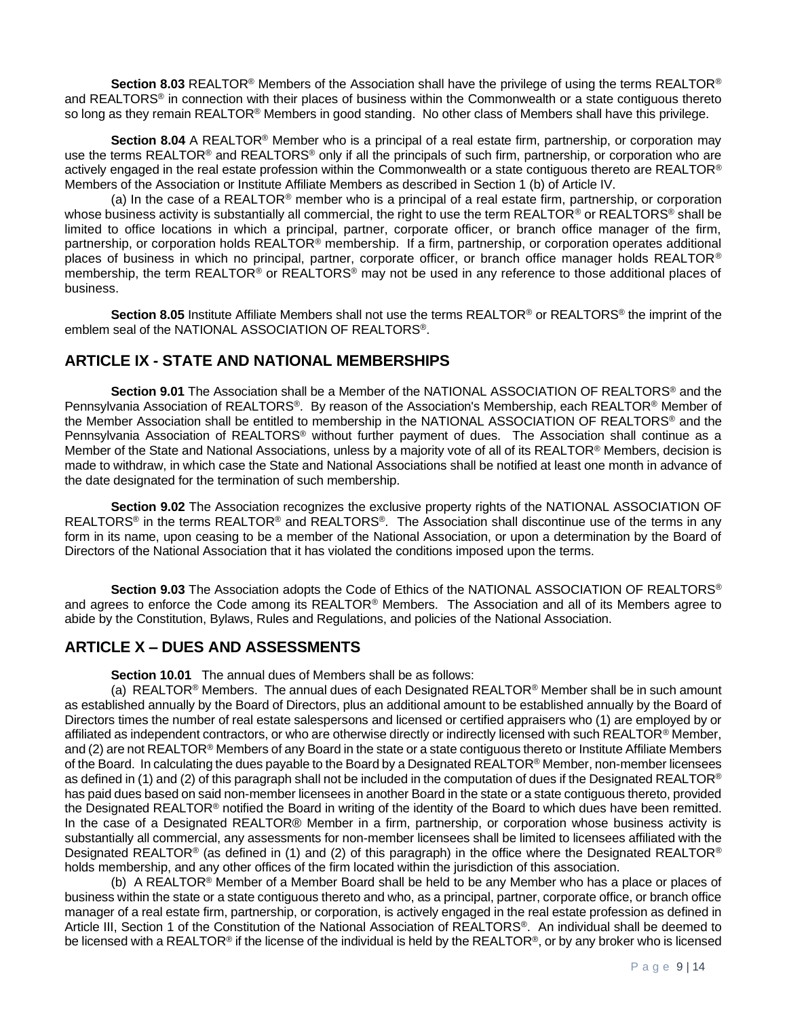**Section 8.03** REALTOR® Members of the Association shall have the privilege of using the terms REALTOR® and REALTORS® in connection with their places of business within the Commonwealth or a state contiguous thereto so long as they remain REALTOR<sup>®</sup> Members in good standing. No other class of Members shall have this privilege.

**Section 8.04** A REALTOR® Member who is a principal of a real estate firm, partnership, or corporation may use the terms REALTOR<sup>®</sup> and REALTORS<sup>®</sup> only if all the principals of such firm, partnership, or corporation who are actively engaged in the real estate profession within the Commonwealth or a state contiguous thereto are REALTOR® Members of the Association or Institute Affiliate Members as described in Section 1 (b) of Article IV.

(a) In the case of a REALTOR® member who is a principal of a real estate firm, partnership, or corporation whose business activity is substantially all commercial, the right to use the term REALTOR<sup>®</sup> or REALTORS<sup>®</sup> shall be limited to office locations in which a principal, partner, corporate officer, or branch office manager of the firm, partnership, or corporation holds REALTOR<sup>®</sup> membership. If a firm, partnership, or corporation operates additional places of business in which no principal, partner, corporate officer, or branch office manager holds REALTOR® membership, the term REALTOR® or REALTORS® may not be used in any reference to those additional places of business.

**Section 8.05** Institute Affiliate Members shall not use the terms REALTOR® or REALTORS® the imprint of the emblem seal of the NATIONAL ASSOCIATION OF REALTORS®.

## **ARTICLE IX - STATE AND NATIONAL MEMBERSHIPS**

**Section 9.01** The Association shall be a Member of the NATIONAL ASSOCIATION OF REALTORS® and the Pennsylvania Association of REALTORS®. By reason of the Association's Membership, each REALTOR® Member of the Member Association shall be entitled to membership in the NATIONAL ASSOCIATION OF REALTORS® and the Pennsylvania Association of REALTORS® without further payment of dues. The Association shall continue as a Member of the State and National Associations, unless by a majority vote of all of its REALTOR® Members, decision is made to withdraw, in which case the State and National Associations shall be notified at least one month in advance of the date designated for the termination of such membership.

**Section 9.02** The Association recognizes the exclusive property rights of the NATIONAL ASSOCIATION OF REALTORS<sup>®</sup> in the terms REALTOR<sup>®</sup> and REALTORS<sup>®</sup>. The Association shall discontinue use of the terms in any form in its name, upon ceasing to be a member of the National Association, or upon a determination by the Board of Directors of the National Association that it has violated the conditions imposed upon the terms.

**Section 9.03** The Association adopts the Code of Ethics of the NATIONAL ASSOCIATION OF REALTORS® and agrees to enforce the Code among its REALTOR® Members. The Association and all of its Members agree to abide by the Constitution, Bylaws, Rules and Regulations, and policies of the National Association.

# **ARTICLE X – DUES AND ASSESSMENTS**

**Section 10.01** The annual dues of Members shall be as follows:

(a) REALTOR® Members. The annual dues of each Designated REALTOR® Member shall be in such amount as established annually by the Board of Directors, plus an additional amount to be established annually by the Board of Directors times the number of real estate salespersons and licensed or certified appraisers who (1) are employed by or affiliated as independent contractors, or who are otherwise directly or indirectly licensed with such REALTOR® Member, and (2) are not REALTOR<sup>®</sup> Members of any Board in the state or a state contiguous thereto or Institute Affiliate Members of the Board. In calculating the dues payable to the Board by a Designated REALTOR® Member, non-member licensees as defined in (1) and (2) of this paragraph shall not be included in the computation of dues if the Designated REALTOR® has paid dues based on said non-member licensees in another Board in the state or a state contiguous thereto, provided the Designated REALTOR® notified the Board in writing of the identity of the Board to which dues have been remitted. In the case of a Designated REALTOR® Member in a firm, partnership, or corporation whose business activity is substantially all commercial, any assessments for non-member licensees shall be limited to licensees affiliated with the Designated REALTOR<sup>®</sup> (as defined in (1) and (2) of this paragraph) in the office where the Designated REALTOR<sup>®</sup> holds membership, and any other offices of the firm located within the jurisdiction of this association.

(b) A REALTOR® Member of a Member Board shall be held to be any Member who has a place or places of business within the state or a state contiguous thereto and who, as a principal, partner, corporate office, or branch office manager of a real estate firm, partnership, or corporation, is actively engaged in the real estate profession as defined in Article III, Section 1 of the Constitution of the National Association of REALTORS®. An individual shall be deemed to be licensed with a REALTOR<sup>®</sup> if the license of the individual is held by the REALTOR<sup>®</sup>, or by any broker who is licensed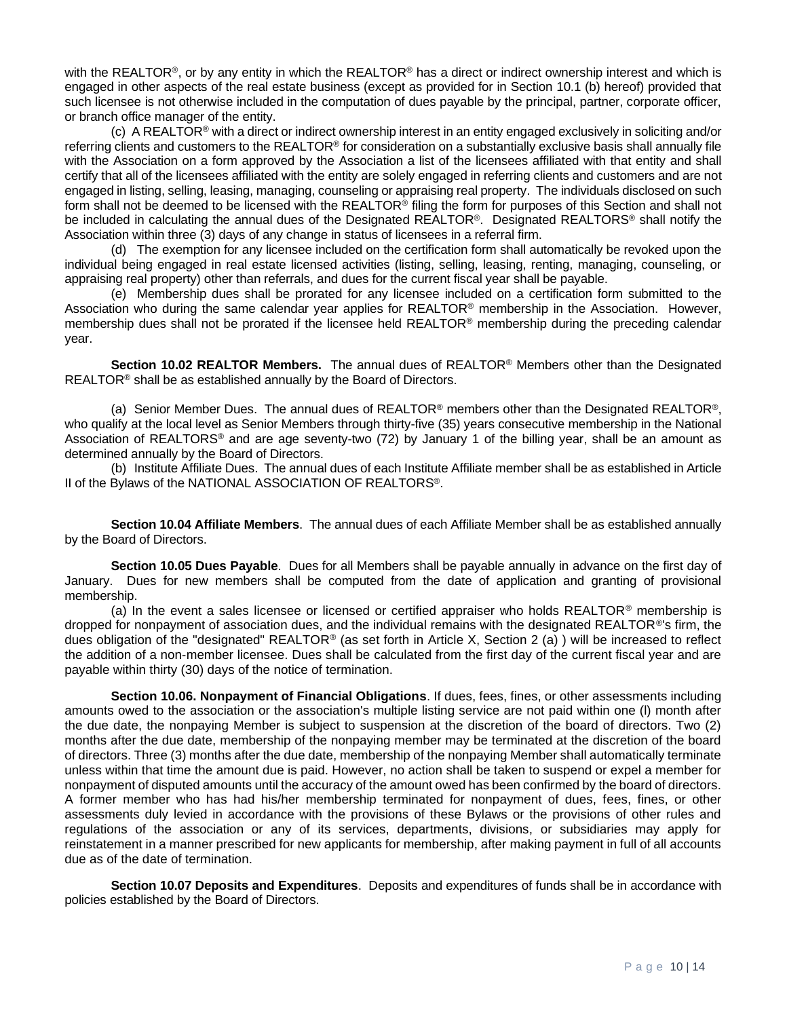with the REALTOR®, or by any entity in which the REALTOR® has a direct or indirect ownership interest and which is engaged in other aspects of the real estate business (except as provided for in Section 10.1 (b) hereof) provided that such licensee is not otherwise included in the computation of dues payable by the principal, partner, corporate officer, or branch office manager of the entity.

(c) A REALTOR® with a direct or indirect ownership interest in an entity engaged exclusively in soliciting and/or referring clients and customers to the REALTOR® for consideration on a substantially exclusive basis shall annually file with the Association on a form approved by the Association a list of the licensees affiliated with that entity and shall certify that all of the licensees affiliated with the entity are solely engaged in referring clients and customers and are not engaged in listing, selling, leasing, managing, counseling or appraising real property. The individuals disclosed on such form shall not be deemed to be licensed with the REALTOR® filing the form for purposes of this Section and shall not be included in calculating the annual dues of the Designated REALTOR®. Designated REALTORS® shall notify the Association within three (3) days of any change in status of licensees in a referral firm.

(d) The exemption for any licensee included on the certification form shall automatically be revoked upon the individual being engaged in real estate licensed activities (listing, selling, leasing, renting, managing, counseling, or appraising real property) other than referrals, and dues for the current fiscal year shall be payable.

(e) Membership dues shall be prorated for any licensee included on a certification form submitted to the Association who during the same calendar year applies for REALTOR® membership in the Association. However, membership dues shall not be prorated if the licensee held REALTOR® membership during the preceding calendar year.

**Section 10.02 REALTOR Members.** The annual dues of REALTOR® Members other than the Designated REALTOR<sup>®</sup> shall be as established annually by the Board of Directors.

(a) Senior Member Dues. The annual dues of REALTOR® members other than the Designated REALTOR®, who qualify at the local level as Senior Members through thirty-five (35) years consecutive membership in the National Association of REALTORS® and are age seventy-two (72) by January 1 of the billing year, shall be an amount as determined annually by the Board of Directors.

(b) Institute Affiliate Dues. The annual dues of each Institute Affiliate member shall be as established in Article II of the Bylaws of the NATIONAL ASSOCIATION OF REALTORS®.

**Section 10.04 Affiliate Members**. The annual dues of each Affiliate Member shall be as established annually by the Board of Directors.

**Section 10.05 Dues Payable**. Dues for all Members shall be payable annually in advance on the first day of January. Dues for new members shall be computed from the date of application and granting of provisional membership.

(a) In the event a sales licensee or licensed or certified appraiser who holds REALTOR<sup>®</sup> membership is dropped for nonpayment of association dues, and the individual remains with the designated REALTOR<sup>®</sup>'s firm, the dues obligation of the "designated" REALTOR® (as set forth in Article X, Section 2 (a) ) will be increased to reflect the addition of a non-member licensee. Dues shall be calculated from the first day of the current fiscal year and are payable within thirty (30) days of the notice of termination.

**Section 10.06. Nonpayment of Financial Obligations**. If dues, fees, fines, or other assessments including amounts owed to the association or the association's multiple listing service are not paid within one (l) month after the due date, the nonpaying Member is subject to suspension at the discretion of the board of directors. Two (2) months after the due date, membership of the nonpaying member may be terminated at the discretion of the board of directors. Three (3) months after the due date, membership of the nonpaying Member shall automatically terminate unless within that time the amount due is paid. However, no action shall be taken to suspend or expel a member for nonpayment of disputed amounts until the accuracy of the amount owed has been confirmed by the board of directors. A former member who has had his/her membership terminated for nonpayment of dues, fees, fines, or other assessments duly levied in accordance with the provisions of these Bylaws or the provisions of other rules and regulations of the association or any of its services, departments, divisions, or subsidiaries may apply for reinstatement in a manner prescribed for new applicants for membership, after making payment in full of all accounts due as of the date of termination.

**Section 10.07 Deposits and Expenditures**. Deposits and expenditures of funds shall be in accordance with policies established by the Board of Directors.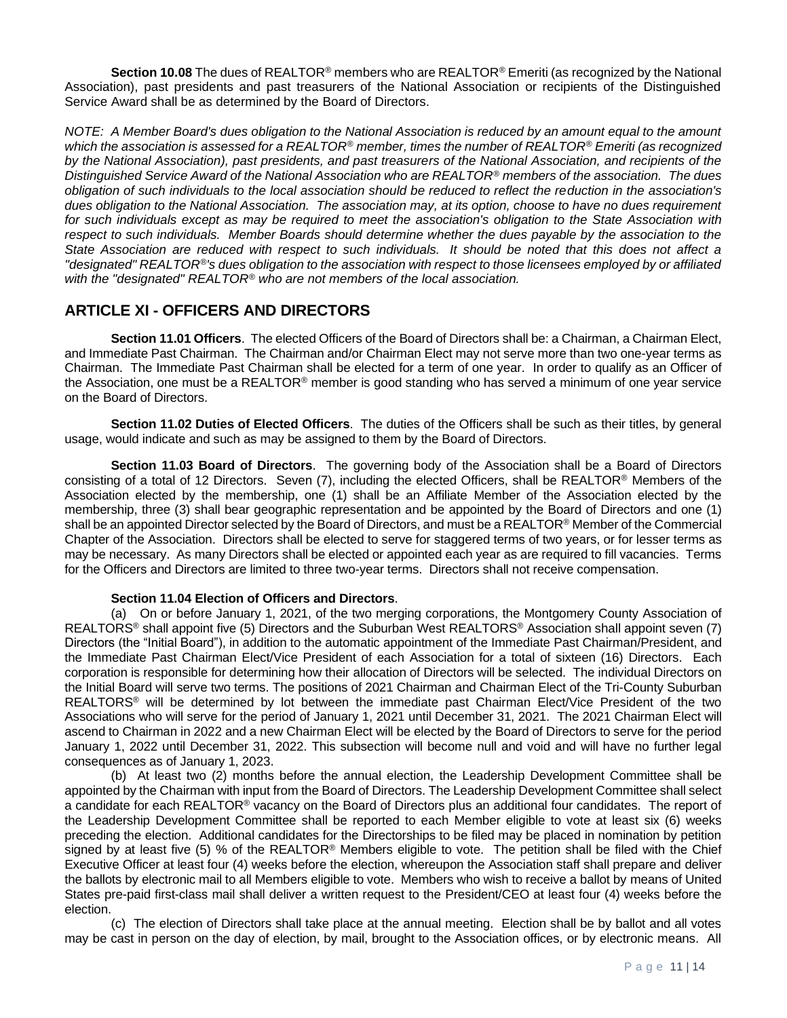**Section 10.08** The dues of REALTOR® members who are REALTOR® Emeriti (as recognized by the National Association), past presidents and past treasurers of the National Association or recipients of the Distinguished Service Award shall be as determined by the Board of Directors.

*NOTE: A Member Board's dues obligation to the National Association is reduced by an amount equal to the amount which the association is assessed for a REALTOR® member, times the number of REALTOR® Emeriti (as recognized by the National Association), past presidents, and past treasurers of the National Association, and recipients of the Distinguished Service Award of the National Association who are REALTOR® members of the association. The dues obligation of such individuals to the local association should be reduced to reflect the reduction in the association's dues obligation to the National Association. The association may, at its option, choose to have no dues requirement*  for such individuals except as may be required to meet the association's obligation to the State Association with respect to such individuals. Member Boards should determine whether the dues payable by the association to the *State Association are reduced with respect to such individuals. It should be noted that this does not affect a "designated" REALTOR®'s dues obligation to the association with respect to those licensees employed by or affiliated with the "designated" REALTOR® who are not members of the local association.*

# **ARTICLE XI - OFFICERS AND DIRECTORS**

**Section 11.01 Officers**. The elected Officers of the Board of Directors shall be: a Chairman, a Chairman Elect, and Immediate Past Chairman. The Chairman and/or Chairman Elect may not serve more than two one-year terms as Chairman. The Immediate Past Chairman shall be elected for a term of one year. In order to qualify as an Officer of the Association, one must be a REALTOR® member is good standing who has served a minimum of one year service on the Board of Directors.

**Section 11.02 Duties of Elected Officers**. The duties of the Officers shall be such as their titles, by general usage, would indicate and such as may be assigned to them by the Board of Directors.

**Section 11.03 Board of Directors**. The governing body of the Association shall be a Board of Directors consisting of a total of 12 Directors. Seven (7), including the elected Officers, shall be REALTOR® Members of the Association elected by the membership, one (1) shall be an Affiliate Member of the Association elected by the membership, three (3) shall bear geographic representation and be appointed by the Board of Directors and one (1) shall be an appointed Director selected by the Board of Directors, and must be a REALTOR® Member of the Commercial Chapter of the Association. Directors shall be elected to serve for staggered terms of two years, or for lesser terms as may be necessary. As many Directors shall be elected or appointed each year as are required to fill vacancies. Terms for the Officers and Directors are limited to three two-year terms. Directors shall not receive compensation.

#### **Section 11.04 Election of Officers and Directors**.

(a) On or before January 1, 2021, of the two merging corporations, the Montgomery County Association of REALTORS® shall appoint five (5) Directors and the Suburban West REALTORS® Association shall appoint seven (7) Directors (the "Initial Board"), in addition to the automatic appointment of the Immediate Past Chairman/President, and the Immediate Past Chairman Elect/Vice President of each Association for a total of sixteen (16) Directors. Each corporation is responsible for determining how their allocation of Directors will be selected. The individual Directors on the Initial Board will serve two terms. The positions of 2021 Chairman and Chairman Elect of the Tri-County Suburban REALTORS® will be determined by lot between the immediate past Chairman Elect/Vice President of the two Associations who will serve for the period of January 1, 2021 until December 31, 2021. The 2021 Chairman Elect will ascend to Chairman in 2022 and a new Chairman Elect will be elected by the Board of Directors to serve for the period January 1, 2022 until December 31, 2022. This subsection will become null and void and will have no further legal consequences as of January 1, 2023.

(b) At least two (2) months before the annual election, the Leadership Development Committee shall be appointed by the Chairman with input from the Board of Directors. The Leadership Development Committee shall select a candidate for each REALTOR® vacancy on the Board of Directors plus an additional four candidates. The report of the Leadership Development Committee shall be reported to each Member eligible to vote at least six (6) weeks preceding the election. Additional candidates for the Directorships to be filed may be placed in nomination by petition signed by at least five (5) % of the REALTOR® Members eligible to vote. The petition shall be filed with the Chief Executive Officer at least four (4) weeks before the election, whereupon the Association staff shall prepare and deliver the ballots by electronic mail to all Members eligible to vote. Members who wish to receive a ballot by means of United States pre-paid first-class mail shall deliver a written request to the President/CEO at least four (4) weeks before the election.

(c) The election of Directors shall take place at the annual meeting. Election shall be by ballot and all votes may be cast in person on the day of election, by mail, brought to the Association offices, or by electronic means. All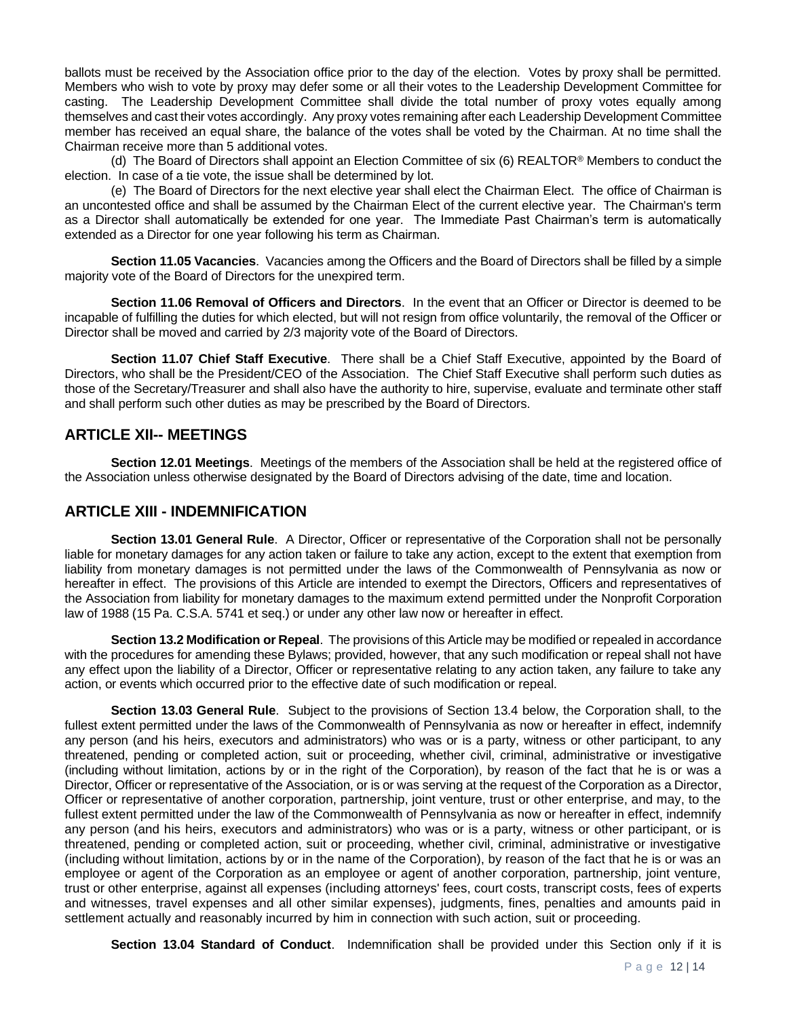ballots must be received by the Association office prior to the day of the election. Votes by proxy shall be permitted. Members who wish to vote by proxy may defer some or all their votes to the Leadership Development Committee for casting. The Leadership Development Committee shall divide the total number of proxy votes equally among themselves and cast their votes accordingly. Any proxy votes remaining after each Leadership Development Committee member has received an equal share, the balance of the votes shall be voted by the Chairman. At no time shall the Chairman receive more than 5 additional votes.

(d) The Board of Directors shall appoint an Election Committee of six (6) REALTOR® Members to conduct the election. In case of a tie vote, the issue shall be determined by lot.

(e) The Board of Directors for the next elective year shall elect the Chairman Elect. The office of Chairman is an uncontested office and shall be assumed by the Chairman Elect of the current elective year. The Chairman's term as a Director shall automatically be extended for one year. The Immediate Past Chairman's term is automatically extended as a Director for one year following his term as Chairman.

**Section 11.05 Vacancies**. Vacancies among the Officers and the Board of Directors shall be filled by a simple majority vote of the Board of Directors for the unexpired term.

**Section 11.06 Removal of Officers and Directors**. In the event that an Officer or Director is deemed to be incapable of fulfilling the duties for which elected, but will not resign from office voluntarily, the removal of the Officer or Director shall be moved and carried by 2/3 majority vote of the Board of Directors.

**Section 11.07 Chief Staff Executive**. There shall be a Chief Staff Executive, appointed by the Board of Directors, who shall be the President/CEO of the Association. The Chief Staff Executive shall perform such duties as those of the Secretary/Treasurer and shall also have the authority to hire, supervise, evaluate and terminate other staff and shall perform such other duties as may be prescribed by the Board of Directors.

#### **ARTICLE XII-- MEETINGS**

**Section 12.01 Meetings**. Meetings of the members of the Association shall be held at the registered office of the Association unless otherwise designated by the Board of Directors advising of the date, time and location.

#### **ARTICLE XIII - INDEMNIFICATION**

**Section 13.01 General Rule**. A Director, Officer or representative of the Corporation shall not be personally liable for monetary damages for any action taken or failure to take any action, except to the extent that exemption from liability from monetary damages is not permitted under the laws of the Commonwealth of Pennsylvania as now or hereafter in effect. The provisions of this Article are intended to exempt the Directors, Officers and representatives of the Association from liability for monetary damages to the maximum extend permitted under the Nonprofit Corporation law of 1988 (15 Pa. C.S.A. 5741 et seq.) or under any other law now or hereafter in effect.

**Section 13.2 Modification or Repeal**. The provisions of this Article may be modified or repealed in accordance with the procedures for amending these Bylaws; provided, however, that any such modification or repeal shall not have any effect upon the liability of a Director, Officer or representative relating to any action taken, any failure to take any action, or events which occurred prior to the effective date of such modification or repeal.

**Section 13.03 General Rule**. Subject to the provisions of Section 13.4 below, the Corporation shall, to the fullest extent permitted under the laws of the Commonwealth of Pennsylvania as now or hereafter in effect, indemnify any person (and his heirs, executors and administrators) who was or is a party, witness or other participant, to any threatened, pending or completed action, suit or proceeding, whether civil, criminal, administrative or investigative (including without limitation, actions by or in the right of the Corporation), by reason of the fact that he is or was a Director, Officer or representative of the Association, or is or was serving at the request of the Corporation as a Director, Officer or representative of another corporation, partnership, joint venture, trust or other enterprise, and may, to the fullest extent permitted under the law of the Commonwealth of Pennsylvania as now or hereafter in effect, indemnify any person (and his heirs, executors and administrators) who was or is a party, witness or other participant, or is threatened, pending or completed action, suit or proceeding, whether civil, criminal, administrative or investigative (including without limitation, actions by or in the name of the Corporation), by reason of the fact that he is or was an employee or agent of the Corporation as an employee or agent of another corporation, partnership, joint venture, trust or other enterprise, against all expenses (including attorneys' fees, court costs, transcript costs, fees of experts and witnesses, travel expenses and all other similar expenses), judgments, fines, penalties and amounts paid in settlement actually and reasonably incurred by him in connection with such action, suit or proceeding.

**Section 13.04 Standard of Conduct**. Indemnification shall be provided under this Section only if it is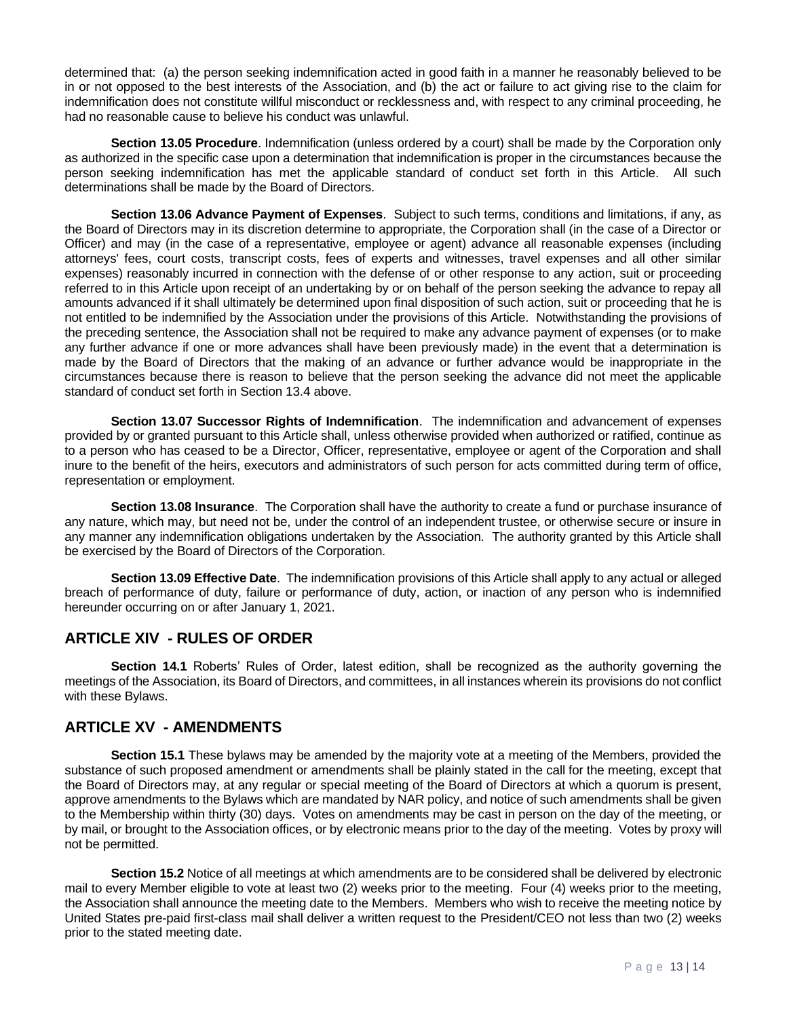determined that: (a) the person seeking indemnification acted in good faith in a manner he reasonably believed to be in or not opposed to the best interests of the Association, and (b) the act or failure to act giving rise to the claim for indemnification does not constitute willful misconduct or recklessness and, with respect to any criminal proceeding, he had no reasonable cause to believe his conduct was unlawful.

**Section 13.05 Procedure**. Indemnification (unless ordered by a court) shall be made by the Corporation only as authorized in the specific case upon a determination that indemnification is proper in the circumstances because the person seeking indemnification has met the applicable standard of conduct set forth in this Article. All such determinations shall be made by the Board of Directors.

**Section 13.06 Advance Payment of Expenses**. Subject to such terms, conditions and limitations, if any, as the Board of Directors may in its discretion determine to appropriate, the Corporation shall (in the case of a Director or Officer) and may (in the case of a representative, employee or agent) advance all reasonable expenses (including attorneys' fees, court costs, transcript costs, fees of experts and witnesses, travel expenses and all other similar expenses) reasonably incurred in connection with the defense of or other response to any action, suit or proceeding referred to in this Article upon receipt of an undertaking by or on behalf of the person seeking the advance to repay all amounts advanced if it shall ultimately be determined upon final disposition of such action, suit or proceeding that he is not entitled to be indemnified by the Association under the provisions of this Article. Notwithstanding the provisions of the preceding sentence, the Association shall not be required to make any advance payment of expenses (or to make any further advance if one or more advances shall have been previously made) in the event that a determination is made by the Board of Directors that the making of an advance or further advance would be inappropriate in the circumstances because there is reason to believe that the person seeking the advance did not meet the applicable standard of conduct set forth in Section 13.4 above.

**Section 13.07 Successor Rights of Indemnification**. The indemnification and advancement of expenses provided by or granted pursuant to this Article shall, unless otherwise provided when authorized or ratified, continue as to a person who has ceased to be a Director, Officer, representative, employee or agent of the Corporation and shall inure to the benefit of the heirs, executors and administrators of such person for acts committed during term of office, representation or employment.

**Section 13.08 Insurance**. The Corporation shall have the authority to create a fund or purchase insurance of any nature, which may, but need not be, under the control of an independent trustee, or otherwise secure or insure in any manner any indemnification obligations undertaken by the Association. The authority granted by this Article shall be exercised by the Board of Directors of the Corporation.

**Section 13.09 Effective Date**. The indemnification provisions of this Article shall apply to any actual or alleged breach of performance of duty, failure or performance of duty, action, or inaction of any person who is indemnified hereunder occurring on or after January 1, 2021.

# **ARTICLE XIV - RULES OF ORDER**

**Section 14.1** Roberts' Rules of Order, latest edition, shall be recognized as the authority governing the meetings of the Association, its Board of Directors, and committees, in all instances wherein its provisions do not conflict with these Bylaws.

## **ARTICLE XV - AMENDMENTS**

**Section 15.1** These bylaws may be amended by the majority vote at a meeting of the Members, provided the substance of such proposed amendment or amendments shall be plainly stated in the call for the meeting, except that the Board of Directors may, at any regular or special meeting of the Board of Directors at which a quorum is present, approve amendments to the Bylaws which are mandated by NAR policy, and notice of such amendments shall be given to the Membership within thirty (30) days. Votes on amendments may be cast in person on the day of the meeting, or by mail, or brought to the Association offices, or by electronic means prior to the day of the meeting. Votes by proxy will not be permitted.

**Section 15.2** Notice of all meetings at which amendments are to be considered shall be delivered by electronic mail to every Member eligible to vote at least two (2) weeks prior to the meeting. Four (4) weeks prior to the meeting, the Association shall announce the meeting date to the Members. Members who wish to receive the meeting notice by United States pre-paid first-class mail shall deliver a written request to the President/CEO not less than two (2) weeks prior to the stated meeting date.